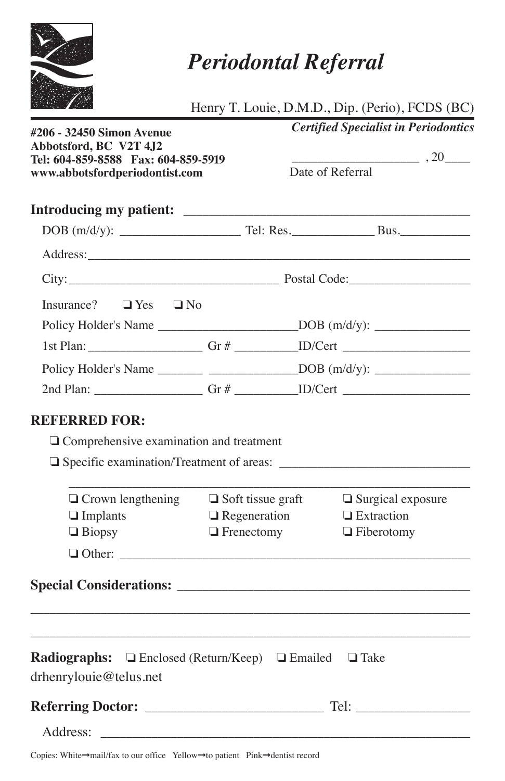

## *Periodontal Referral*

|  | Henry T. Louie, D.M.D., Dip. (Perio), FCDS (BC) |  |  |
|--|-------------------------------------------------|--|--|
|  |                                                 |  |  |

| #206 - 32450 Simon Avenue<br>Abbotsford, BC V2T 4J2                                                    |                          | <b>Certified Specialist in Periodontics</b><br>$\frac{1}{20}$ , 20 $\frac{1}{20}$<br>Date of Referral |  |  |
|--------------------------------------------------------------------------------------------------------|--------------------------|-------------------------------------------------------------------------------------------------------|--|--|
| Tel: 604-859-8588 Fax: 604-859-5919<br>www.abbotsfordperiodontist.com                                  |                          |                                                                                                       |  |  |
|                                                                                                        |                          |                                                                                                       |  |  |
|                                                                                                        |                          |                                                                                                       |  |  |
|                                                                                                        |                          |                                                                                                       |  |  |
|                                                                                                        |                          |                                                                                                       |  |  |
| Insurance? $\Box$ Yes $\Box$ No                                                                        |                          |                                                                                                       |  |  |
| Policy Holder's Name _____________________________DOB (m/d/y): _________________                       |                          |                                                                                                       |  |  |
|                                                                                                        |                          |                                                                                                       |  |  |
| Policy Holder's Name ________________________________DOB (m/d/y): _______________                      |                          |                                                                                                       |  |  |
|                                                                                                        |                          |                                                                                                       |  |  |
|                                                                                                        |                          |                                                                                                       |  |  |
| $\Box$ Crown lengthening                                                                               | $\Box$ Soft tissue graft | $\Box$ Surgical exposure                                                                              |  |  |
| $\Box$ Implants                                                                                        | $\Box$ Regeneration      | $\Box$ Extraction                                                                                     |  |  |
| $\Box$ Biopsy                                                                                          | $\Box$ Frenectomy        | $\Box$ Fiberotomy                                                                                     |  |  |
|                                                                                                        |                          |                                                                                                       |  |  |
|                                                                                                        |                          |                                                                                                       |  |  |
|                                                                                                        |                          |                                                                                                       |  |  |
| <b>Radiographs:</b> $\Box$ Enclosed (Return/Keep) $\Box$ Emailed $\Box$ Take<br>drhenrylouie@telus.net |                          |                                                                                                       |  |  |
|                                                                                                        |                          |                                                                                                       |  |  |
| Address:                                                                                               |                          |                                                                                                       |  |  |